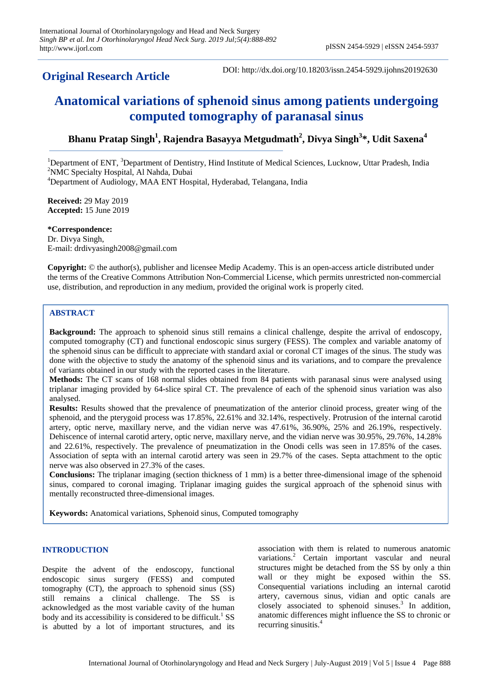# **Original Research Article**

DOI: http://dx.doi.org/10.18203/issn.2454-5929.ijohns20192630

# **Anatomical variations of sphenoid sinus among patients undergoing computed tomography of paranasal sinus**

## **Bhanu Pratap Singh<sup>1</sup> , Rajendra Basayya Metgudmath<sup>2</sup> , Divya Singh<sup>3</sup> \*, Udit Saxena<sup>4</sup>**

<sup>1</sup>Department of ENT, <sup>3</sup>Department of Dentistry, Hind Institute of Medical Sciences, Lucknow, Uttar Pradesh, India <sup>2</sup>NMC Specialty Hospital, Al Nahda, Dubai

<sup>4</sup>Department of Audiology, MAA ENT Hospital, Hyderabad, Telangana, India

**Received:** 29 May 2019 **Accepted:** 15 June 2019

**\*Correspondence:** Dr. Divya Singh, E-mail: drdivyasingh2008@gmail.com

**Copyright:** © the author(s), publisher and licensee Medip Academy. This is an open-access article distributed under the terms of the Creative Commons Attribution Non-Commercial License, which permits unrestricted non-commercial use, distribution, and reproduction in any medium, provided the original work is properly cited.

## **ABSTRACT**

**Background:** The approach to sphenoid sinus still remains a clinical challenge, despite the arrival of endoscopy, computed tomography (CT) and functional endoscopic sinus surgery (FESS). The complex and variable anatomy of the sphenoid sinus can be difficult to appreciate with standard axial or coronal CT images of the sinus. The study was done with the objective to study the anatomy of the sphenoid sinus and its variations, and to compare the prevalence of variants obtained in our study with the reported cases in the literature.

**Methods:** The CT scans of 168 normal slides obtained from 84 patients with paranasal sinus were analysed using triplanar imaging provided by 64-slice spiral CT. The prevalence of each of the sphenoid sinus variation was also analysed.

**Results:** Results showed that the prevalence of pneumatization of the anterior clinoid process, greater wing of the sphenoid, and the pterygoid process was 17.85%, 22.61% and 32.14%, respectively. Protrusion of the internal carotid artery, optic nerve, maxillary nerve, and the vidian nerve was 47.61%, 36.90%, 25% and 26.19%, respectively. Dehiscence of internal carotid artery, optic nerve, maxillary nerve, and the vidian nerve was 30.95%, 29.76%, 14.28% and 22.61%, respectively. The prevalence of pneumatization in the Onodi cells was seen in 17.85% of the cases. Association of septa with an internal carotid artery was seen in 29.7% of the cases. Septa attachment to the optic nerve was also observed in 27.3% of the cases.

**Conclusions:** The triplanar imaging (section thickness of 1 mm) is a better three-dimensional image of the sphenoid sinus, compared to coronal imaging. Triplanar imaging guides the surgical approach of the sphenoid sinus with mentally reconstructed three-dimensional images.

**Keywords:** Anatomical variations, Sphenoid sinus, Computed tomography

#### **INTRODUCTION**

Despite the advent of the endoscopy, functional endoscopic sinus surgery (FESS) and computed tomography (CT), the approach to sphenoid sinus (SS) still remains a clinical challenge. The SS is acknowledged as the most variable cavity of the human body and its accessibility is considered to be difficult.<sup>1</sup> SS is abutted by a lot of important structures, and its association with them is related to numerous anatomic variations.<sup>2</sup> Certain important vascular and neural structures might be detached from the SS by only a thin wall or they might be exposed within the SS. Consequential variations including an internal carotid artery, cavernous sinus, vidian and optic canals are closely associated to sphenoid sinuses.<sup>3</sup> In addition, anatomic differences might influence the SS to chronic or recurring sinusitis.<sup>4</sup>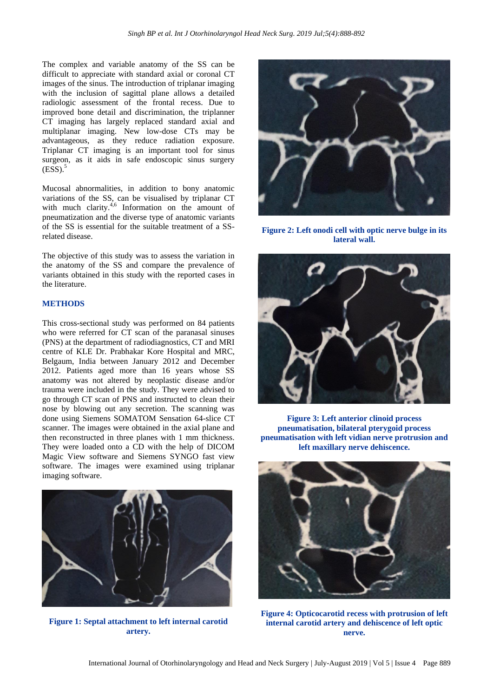The complex and variable anatomy of the SS can be difficult to appreciate with standard axial or coronal CT images of the sinus. The introduction of triplanar imaging with the inclusion of sagittal plane allows a detailed radiologic assessment of the frontal recess. Due to improved bone detail and discrimination, the triplanner CT imaging has largely replaced standard axial and multiplanar imaging. New low-dose CTs may be advantageous, as they reduce radiation exposure. Triplanar CT imaging is an important tool for sinus surgeon, as it aids in safe endoscopic sinus surgery  $(ESS).$ <sup>5</sup>

Mucosal abnormalities, in addition to bony anatomic variations of the SS, can be visualised by triplanar CT with much clarity. $4,6$  Information on the amount of pneumatization and the diverse type of anatomic variants of the SS is essential for the suitable treatment of a SSrelated disease.

The objective of this study was to assess the variation in the anatomy of the SS and compare the prevalence of variants obtained in this study with the reported cases in the literature.

#### **METHODS**

This cross-sectional study was performed on 84 patients who were referred for CT scan of the paranasal sinuses (PNS) at the department of radiodiagnostics, CT and MRI centre of KLE Dr. Prabhakar Kore Hospital and MRC, Belgaum, India between January 2012 and December 2012. Patients aged more than 16 years whose SS anatomy was not altered by neoplastic disease and/or trauma were included in the study. They were advised to go through CT scan of PNS and instructed to clean their nose by blowing out any secretion. The scanning was done using Siemens SOMATOM Sensation 64-slice CT scanner. The images were obtained in the axial plane and then reconstructed in three planes with 1 mm thickness. They were loaded onto a CD with the help of DICOM Magic View software and Siemens SYNGO fast view software. The images were examined using triplanar imaging software.



**Figure 1: Septal attachment to left internal carotid artery.**



**Figure 2: Left onodi cell with optic nerve bulge in its lateral wall.**



**Figure 3: Left anterior clinoid process pneumatisation, bilateral pterygoid process pneumatisation with left vidian nerve protrusion and left maxillary nerve dehiscence.**



**Figure 4: Opticocarotid recess with protrusion of left internal carotid artery and dehiscence of left optic nerve.**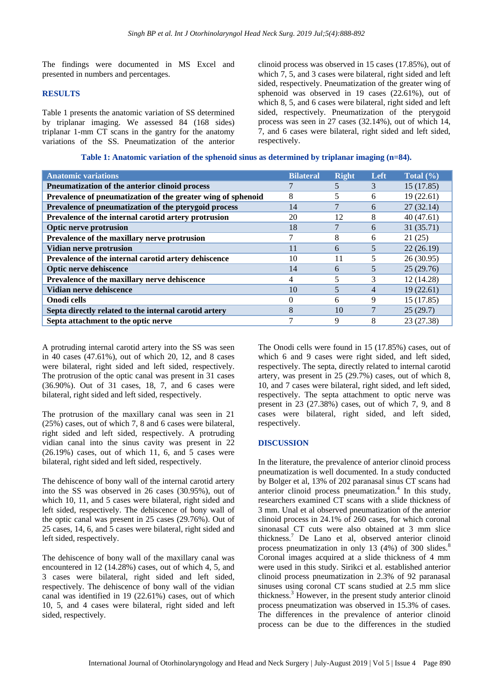The findings were documented in MS Excel and presented in numbers and percentages.

#### **RESULTS**

Table 1 presents the anatomic variation of SS determined by triplanar imaging. We assessed 84 (168 sides) triplanar 1-mm CT scans in the gantry for the anatomy variations of the SS. Pneumatization of the anterior clinoid process was observed in 15 cases (17.85%), out of which 7, 5, and 3 cases were bilateral, right sided and left sided, respectively. Pneumatization of the greater wing of sphenoid was observed in 19 cases (22.61%), out of which 8, 5, and 6 cases were bilateral, right sided and left sided, respectively. Pneumatization of the pterygoid process was seen in 27 cases (32.14%), out of which 14, 7, and 6 cases were bilateral, right sided and left sided, respectively.

#### **Table 1: Anatomic variation of the sphenoid sinus as determined by triplanar imaging (n=84).**

| <b>Anatomic variations</b>                                   | <b>Bilateral</b> | <b>Right</b> | Left | Total $(\% )$ |
|--------------------------------------------------------------|------------------|--------------|------|---------------|
| Pneumatization of the anterior clinoid process               |                  |              | 3    | 15(17.85)     |
| Prevalence of pneumatization of the greater wing of sphenoid | 8                | 5            | 6    | 19(22.61)     |
| Prevalence of pneumatization of the pterygoid process        | 14               | 7            | 6    | 27(32.14)     |
| Prevalence of the internal carotid artery protrusion         | 20               | 12           | 8    | 40(47.61)     |
| <b>Optic nerve protrusion</b>                                | 18               |              | 6    | 31(35.71)     |
| Prevalence of the maxillary nerve protrusion                 |                  | 8            | 6    | 21(25)        |
| Vidian nerve protrusion                                      | 11               | 6            | 5    | 22(26.19)     |
| Prevalence of the internal carotid artery dehiscence         | 10               | 11           | 5    | 26(30.95)     |
| <b>Optic nerve dehiscence</b>                                | 14               | 6            | 5    | 25(29.76)     |
| Prevalence of the maxillary nerve dehiscence                 | 4                | 5            | 3    | 12 (14.28)    |
| Vidian nerve dehiscence                                      | 10               | 5            | 4    | 19(22.61)     |
| Onodi cells                                                  | 0                | 6            | 9    | 15 (17.85)    |
| Septa directly related to the internal carotid artery        | 8                | 10           | 7    | 25(29.7)      |
| Septa attachment to the optic nerve                          |                  | 9            | 8    | 23 (27.38)    |
|                                                              |                  |              |      |               |

A protruding internal carotid artery into the SS was seen in 40 cases (47.61%), out of which 20, 12, and 8 cases were bilateral, right sided and left sided, respectively. The protrusion of the optic canal was present in 31 cases (36.90%). Out of 31 cases, 18, 7, and 6 cases were bilateral, right sided and left sided, respectively.

The protrusion of the maxillary canal was seen in 21 (25%) cases, out of which 7, 8 and 6 cases were bilateral, right sided and left sided, respectively. A protruding vidian canal into the sinus cavity was present in 22 (26.19%) cases, out of which 11, 6, and 5 cases were bilateral, right sided and left sided, respectively.

The dehiscence of bony wall of the internal carotid artery into the SS was observed in 26 cases (30.95%), out of which 10, 11, and 5 cases were bilateral, right sided and left sided, respectively. The dehiscence of bony wall of the optic canal was present in 25 cases (29.76%). Out of 25 cases, 14, 6, and 5 cases were bilateral, right sided and left sided, respectively.

The dehiscence of bony wall of the maxillary canal was encountered in 12 (14.28%) cases, out of which 4, 5, and 3 cases were bilateral, right sided and left sided, respectively. The dehiscence of bony wall of the vidian canal was identified in 19 (22.61%) cases, out of which 10, 5, and 4 cases were bilateral, right sided and left sided, respectively.

The Onodi cells were found in 15 (17.85%) cases, out of which 6 and 9 cases were right sided, and left sided, respectively. The septa, directly related to internal carotid artery, was present in 25 (29.7%) cases, out of which 8, 10, and 7 cases were bilateral, right sided, and left sided, respectively. The septa attachment to optic nerve was present in 23 (27.38%) cases, out of which 7, 9, and 8 cases were bilateral, right sided, and left sided, respectively.

#### **DISCUSSION**

In the literature, the prevalence of anterior clinoid process pneumatization is well documented. In a study conducted by Bolger et al, 13% of 202 paranasal sinus CT scans had anterior clinoid process pneumatization.<sup>4</sup> In this study, researchers examined CT scans with a slide thickness of 3 mm. Unal et al observed pneumatization of the anterior clinoid process in 24.1% of 260 cases, for which coronal sinonasal CT cuts were also obtained at 3 mm slice thickness.<sup>7</sup> De Lano et al, observed anterior clinoid process pneumatization in only 13 (4%) of 300 slides.<sup>8</sup> Coronal images acquired at a slide thickness of 4 mm were used in this study. Sirikci et al. established anterior clinoid process pneumatization in 2.3% of 92 paranasal sinuses using coronal CT scans studied at 2.5 mm slice thickness.<sup>3</sup> However, in the present study anterior clinoid process pneumatization was observed in 15.3% of cases. The differences in the prevalence of anterior clinoid process can be due to the differences in the studied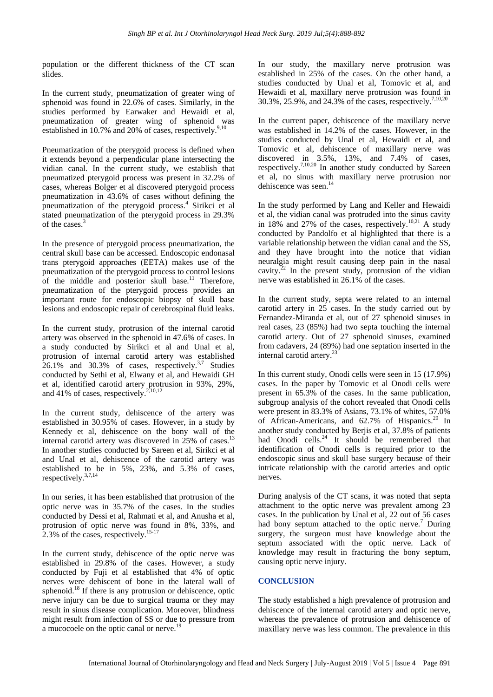population or the different thickness of the CT scan slides.

In the current study, pneumatization of greater wing of sphenoid was found in 22.6% of cases. Similarly, in the studies performed by Earwaker and Hewaidi et al, pneumatization of greater wing of sphenoid was established in 10.7% and 20% of cases, respectively.<sup>9,10</sup>

Pneumatization of the pterygoid process is defined when it extends beyond a perpendicular plane intersecting the vidian canal. In the current study, we establish that pneumatized pterygoid process was present in 32.2% of cases, whereas Bolger et al discovered pterygoid process pneumatization in 43.6% of cases without defining the pneumatization of the pterygoid process.<sup>4</sup> Sirikci et al stated pneumatization of the pterygoid process in 29.3% of the cases.<sup>3</sup>

In the presence of pterygoid process pneumatization, the central skull base can be accessed. Endoscopic endonasal trans pterygoid approaches (EETA) makes use of the pneumatization of the pterygoid process to control lesions of the middle and posterior skull base.<sup>11</sup> Therefore, pneumatization of the pterygoid process provides an important route for endoscopic biopsy of skull base lesions and endoscopic repair of cerebrospinal fluid leaks.

In the current study, protrusion of the internal carotid artery was observed in the sphenoid in 47.6% of cases. In a study conducted by Sirikci et al and Unal et al, protrusion of internal carotid artery was established  $26.1\%$  and  $30.3\%$  of cases, respectively.<sup>3,7</sup> Studies conducted by Sethi et al, Elwany et al, and Hewaidi GH et al, identified carotid artery protrusion in 93%, 29%, and 41% of cases, respectively.<sup>2,10,12</sup>

In the current study, dehiscence of the artery was established in 30.95% of cases. However, in a study by Kennedy et al, dehiscence on the bony wall of the internal carotid artery was discovered in 25% of cases.<sup>13</sup> In another studies conducted by Sareen et al, Sirikci et al and Unal et al, dehiscence of the carotid artery was established to be in 5%, 23%, and 5.3% of cases, respectively.3,7,14

In our series, it has been established that protrusion of the optic nerve was in 35.7% of the cases. In the studies conducted by Dessi et al, Rahmati et al, and Anusha et al, protrusion of optic nerve was found in 8%, 33%, and  $2.3\%$  of the cases, respectively.<sup>15-17</sup>

In the current study, dehiscence of the optic nerve was established in 29.8% of the cases. However, a study conducted by Fuji et al established that 4% of optic nerves were dehiscent of bone in the lateral wall of sphenoid.<sup>18</sup> If there is any protrusion or dehiscence, optic nerve injury can be due to surgical trauma or they may result in sinus disease complication. Moreover, blindness might result from infection of SS or due to pressure from a mucocoele on the optic canal or nerve.<sup>19</sup>

In our study, the maxillary nerve protrusion was established in 25% of the cases. On the other hand, a studies conducted by Unal et al, Tomovic et al, and Hewaidi et al, maxillary nerve protrusion was found in 30.3%, 25.9%, and 24.3% of the cases, respectively.7,10,20

In the current paper, dehiscence of the maxillary nerve was established in 14.2% of the cases. However, in the studies conducted by Unal et al, Hewaidi et al, and Tomovic et al, dehiscence of maxillary nerve was discovered in 3.5%, 13%, and 7.4% of cases, respectively.<sup>7,10,20</sup> In another study conducted by Sareen et al, no sinus with maxillary nerve protrusion nor dehiscence was seen.<sup>14</sup>

In the study performed by Lang and Keller and Hewaidi et al, the vidian canal was protruded into the sinus cavity in 18% and 27% of the cases, respectively.<sup>10,21</sup> A study conducted by Pandolfo et al highlighted that there is a variable relationship between the vidian canal and the SS, and they have brought into the notice that vidian neuralgia might result causing deep pain in the nasal cavity. $22$  In the present study, protrusion of the vidian nerve was established in 26.1% of the cases.

In the current study, septa were related to an internal carotid artery in 25 cases. In the study carried out by Fernandez-Miranda et al, out of 27 sphenoid sinuses in real cases, 23 (85%) had two septa touching the internal carotid artery. Out of 27 sphenoid sinuses, examined from cadavers, 24 (89%) had one septation inserted in the internal carotid artery.<sup>23</sup>

In this current study, Onodi cells were seen in 15 (17.9%) cases. In the paper by Tomovic et al Onodi cells were present in 65.3% of the cases. In the same publication, subgroup analysis of the cohort revealed that Onodi cells were present in 83.3% of Asians, 73.1% of whites, 57.0% of African-Americans, and 62.7% of Hispanics.<sup>20</sup> In another study conducted by Berjis et al, 37.8% of patients had Onodi cells.<sup>24</sup> It should be remembered that identification of Onodi cells is required prior to the endoscopic sinus and skull base surgery because of their intricate relationship with the carotid arteries and optic nerves.

During analysis of the CT scans, it was noted that septa attachment to the optic nerve was prevalent among 23 cases. In the publication by Unal et al, 22 out of 56 cases had bony septum attached to the optic nerve.<sup>7</sup> During surgery, the surgeon must have knowledge about the septum associated with the optic nerve. Lack of knowledge may result in fracturing the bony septum, causing optic nerve injury.

## **CONCLUSION**

The study established a high prevalence of protrusion and dehiscence of the internal carotid artery and optic nerve, whereas the prevalence of protrusion and dehiscence of maxillary nerve was less common. The prevalence in this